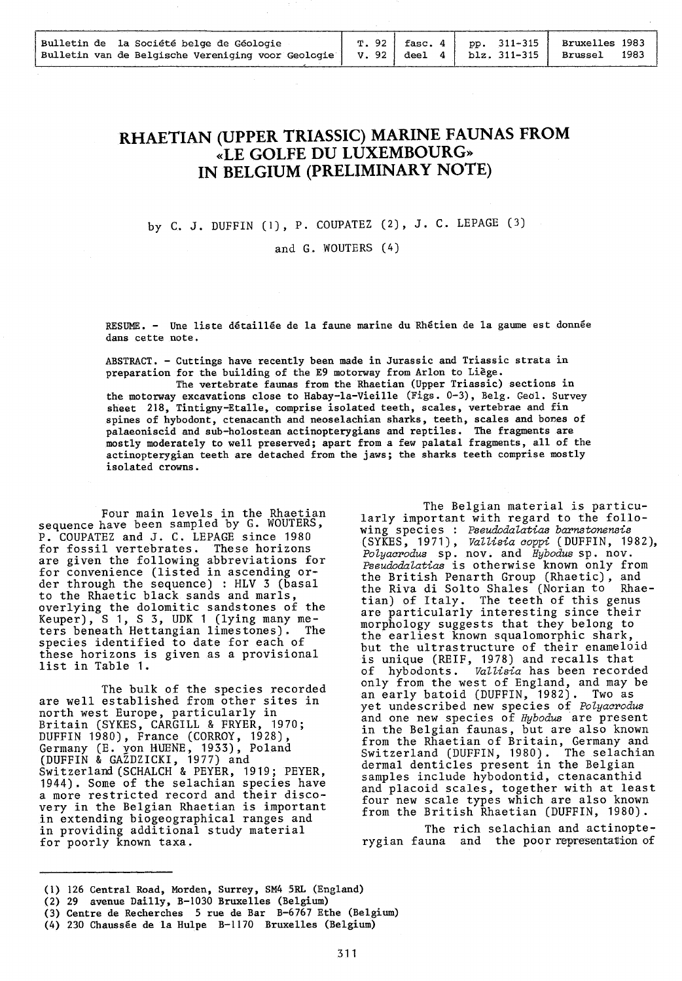| Bulletin de la Société belge de Géologie           |  |                                                     | T. 92   fasc. 4   pp. 311-315   Bruxelles 1983 |
|----------------------------------------------------|--|-----------------------------------------------------|------------------------------------------------|
| Bulletin van de Belgische Vereniging voor Geologie |  | $V. 92   \text{deel } 4   \text{blz. } 311 - 315  $ | 1983<br>Brussel                                |
|                                                    |  |                                                     |                                                |

## **RHAETIAN (UPPER TRIASSIC) MARINE FAUNAS FROM «LE GOLFE DU LUXEMBOURG» IN BELGIUM (PRELIMINARY NOTE)**

### by C. J. DUFFIN (1), P. COUPATEZ (2), J. C. LEPAGE (3)

#### and G. WOUTERS (4)

RESUME. - Une liste détaillée de la faune marine du Rhétien de la gaume est donnée dans cette note.

ABSTRACT. - Cuttings have recently been made in Jurassic and Triassic strata in preparation for the building of the E9 motorway from Arlon to Liège.

The vertebrate faunas from the Rhaetian (Upper Triassic) sections in the motorway excavations close to Habay-la-Vieille (Figs. 0-3), Belg. Geol. Survey sheet 218, Tintigny-Etalle, comprise isolated teeth, scales, vertebrae and fin spines of hybodont, ctenacanth and neoselachian sharks, teeth, scales and bones of palaeoniscid and sub-holostean actinopterygians and reptiles. The fragments are mostly moderately to well preserved; apart from a few palatal fragments, all of the actinopterygian teeth are detached from the jaws; the sharks teeth comprise mostly isolated crowns.

Four main levels in the Rhaetian sequence have been sampled by G. WOUTERS, P. COUPATEZ and J. C. LEPAGE since 1980 for fossil vertebrates. are given the following abbreviations for for convenience (listed in ascending order through the sequence) : HLV 3 (basal to the Rhaetic black sands and marls, overlying the dolomitic sandstones of the Keuper), S 1, S 3, UDK 1 (lying many meters beneath Hettangian limestones). The species identified to date for each of these horizons is given as a provisional list in Table 1.

The bulk of the species recorded are well established from other sites in north west Europe, particularly in Britain (SYKES, CARGILL & FRYER, 1970; DUFFIN 1980), France (CORROY, 1928), Germany (E. yon HUENE, 1933), Poland (DUFFIN & GAZDZICKI, 1977) and Switzerland (SCHALCH & PEYER, 1919; PEYER, 1944). Some of the selachian species have a more restricted record and their discovery in the Belgian Rhaetian is important in extending biogeographical ranges and in providing additional study material for poorly known taxa.

The Belgian material is particularly important with regard to the following species : *Pseudodalatias barnstonensis*  (SYKES, 1971), *VaUisia coppi* (DUFFIN, 1982), *Polyacr>odus* sp. nov. and *Hybodus* sp. nov. Pseudodalatias is otherwise known only from the British Penarth Group (Rhaetic), and the Riva di Solto Shales (Norian to Rhaetian) of Italy. The teeth of this genus are particularly interesting since their morphology suggests that they belong to the earliest known squalomorphic shark, but the ultrastructure of their enameloid is unique (REIF, 1978) and recalls that of hybodonts. *Vallisia* has been recorded only from the west of England, and may be an early batoid (DUFFIN, 1982). Two as yet undescribed new species of *Polyacrodus* and one new species of *Hybodus* are present in the Belgian faunas, but are also known from the Rhaetian of Britain, Germany and Switzerland (DUFFIN, 1980). The selachian Switzerland (DUFFIN, 1980). The selach:<br>dermal denticles present in the Belgian samples include hybodontid, ctenacanthid and placoid scales, together with at least four new scale types which are also known from the British Rhaetian (DUFFIN, 1980).

The rich selachian and actinopterygian fauna and the poor representation of

(1) 126 Central Road, Morden, Surrey, SM4 SRL (England)

<sup>(2) 29</sup> avenue Dailly, B-1030 Bruxelles (Belgium)

<sup>(3)</sup> Centre de Recherches 5 rue de Bar B-6767 Ethe (Belgium)

<sup>(4) 230</sup> Chaussée de la Hulpe B-1170 Bruxelles (Belgium)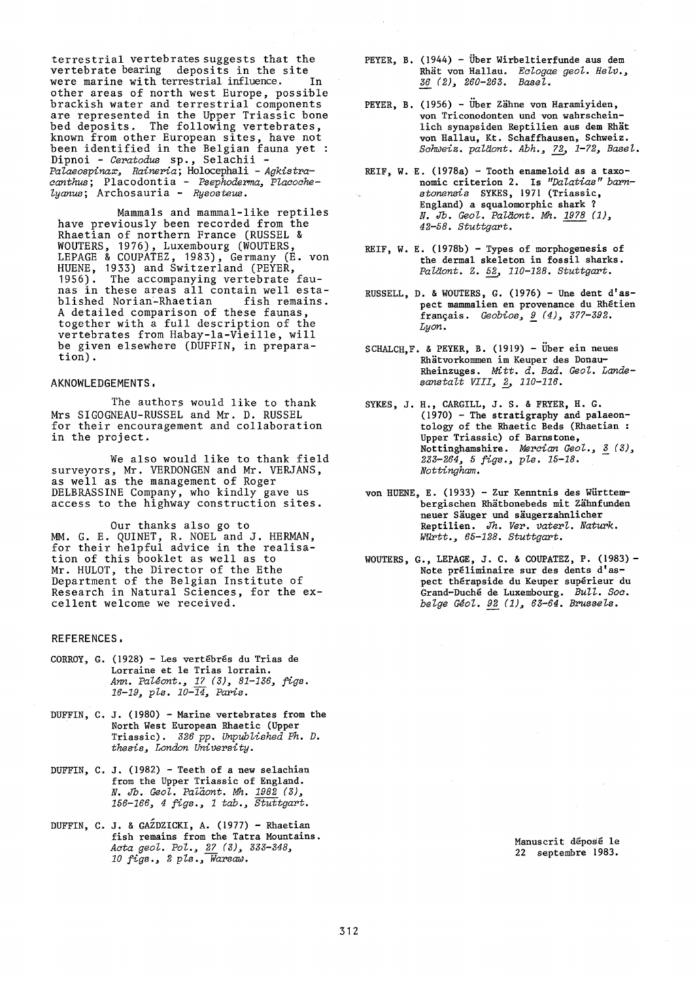terrestrial vertebrates suggests that the vertebrate bearing deposits in the site<br>were marine with terrestrial influence. In were marine with terrestrial influence. other areas of north west Europe, possible brackish water and terrestrial components are represented in the Upper Triassic bone bed deposits. The following vertebrates, known from other European sites, have not been identified in the Belgian fauna yet :<br>Dipnoi - Ceratodus sp., Selachii -Palaeospinax, Raineria; Holocephali - Agkistra*aanthus;* Placodontia - *Psephoderma, Plaaoahelyanus;* Archosauria - *Rysosteus.* 

Mammals and mammal-like reptiles have previously been recorded from the Rhaetian of northern France (RUSSEL & WOUTERS, 1976), Luxembourg (WOUTERS, LEPAGE & COUPATEZ, 1983), Germany (E. von HUENE, 1933) and Switzerland (PEYER, 1956). The accompanying vertebrate The accompanying vertebrate faunas in these areas all contain well established Norian-Rhaetian A detailed comparison of these faunas, together with a full description of the vertebrates from Habay-la-Vieille, will be given elsewhere (DUFFIN, in preparation).

#### AKNOWLEDGEMENTS,

The authors would like to thank Mrs SIGOGNEAU-RUSSEL and Mr. D. RUSSEL for their encouragement and collaboration in the project.

We also would like to thank field surveyors, Mr. VERDONGEN and Mr. VERJANS, as well as the management of Roger DELBRASSINE Company, who kindly gave us access to the highway construction sites.

Our thanks also go to MM. G. E. QUINET, R. NOEL and J. HERMAN, for their helpful advice in the realisation of this booklet as well as to Mr. HULOT, the Director of the Ethe Department of the Belgian Institute of Research in Natural Sciences, for the excellent welcome we received.

#### REFERENCES,

- CORROY, G. (1928) Les vertébrés du Trias de Lorraine et le Trias lorrain. *Ann. Paléont., 17 (3), 81-136, figs. 16-19, pls. 10-14, Paris.*
- DUFFIN, C. J. (1980) Marine vertebrates from the North West European Rhaetic (Upper Triassic). *326 pp. Unpublished Ph. D. thesis, London University.*
- DUFFIN, C. J. (1982) Teeth of a new selachian from the Upper Triassic of England. *N. Jb. Geol. Paîaont. Mh. 1982 (3), 156-166, 4 figs., 1 tah., Stuttgart.*
- DUFFIN, C. J. & GAZDZICKI, A. (1977) Rhaetian fish remains from the Tatra Mountains. *Aata geol. Pol., 27 (3), 333-348, 10 figs.*, 2 pls.,  $\sqrt{W}$ *arsav*.
- PEYER, B. (1944) Über Wirbeltierfunde aus dem Rhat von Hallau. *Ealogae geol. Helv., 36 (2), 260-263. Basel.*
- PEYER, B. (1956) Über Zähne von Haramiyiden, von Triconodonten und von wahrscheinlich synapsiden Reptilien aus dem Rhät von Hallau, Kt. Schaffhausen, Schweiz. *Sahweiz. paUi.ont. Abh., 72, 1-72, Basel.*
- REIF, W. E. (1978a) Tooth enameloid as a taxonomie criterion 2. Is *"Dalatias" barnstonensis* SYKES, 1971 (Triassic, England) a squalomorphic shark ? *England) a squalomorphic shark ?*<br>*N. Jb. Geol. Paläont. Mh. <u>1978</u> (1),* 42-58. Stuttgart.
- REIF, W. E. (1978b) Types of morphogenesis of the dermal skeleton in fossil sharks. *Pala.ont.* Z. *52, 110-128. Stuttgart.*
- RUSSELL, D. & WOUTERS, G. (1976) Une dent d'aspect mammalien en provenance du Rhétien français. *Geobios, 9 (4), 377-392. Lyon.* -
- SCHALCH,F. & PEYER, B. (1919) Über ein neues Rhatvorkommen im Keuper des Donau-Rheinzuges. Mitt. *d. Bad. Geol. Lande*sanstalt VIII, 2, 110-116.
- SYKES, J.H., CARGILL, J. S. & FRYER, H. G. (1970) - The stratigraphy and palaeontology of the Rhaetic Beds (Rhaetian : Upper Triassic) of Barnstone, Nottinghamshire. *Mercian Geol.*, 3 (3), *233-264, 5 figs., pls. 15-18. Nottingham.*
- von HUENE, E. (1933) Zur Kenntnis des WÜrttembergischen Rhatbonebeds mit Zahnfunden neuer Säuger und säugerzahnlicher Reptilien. Jh. *Ver. vaterl. Naturk. Wü:rtt., 65-128. Stuttgart.*
- WOUTERS, G., LEPAGE, J. C. & COUPATEZ, P. (1983) Note préliminaire sur des dents d'aspect thérapside du Keuper supérieur du Grand-Duché de Luxembourg. *Bull. Soa. belge Géol. 92 (1), 63-64. Brussels.*

Manuscrit déposé le 22 septembre 1983.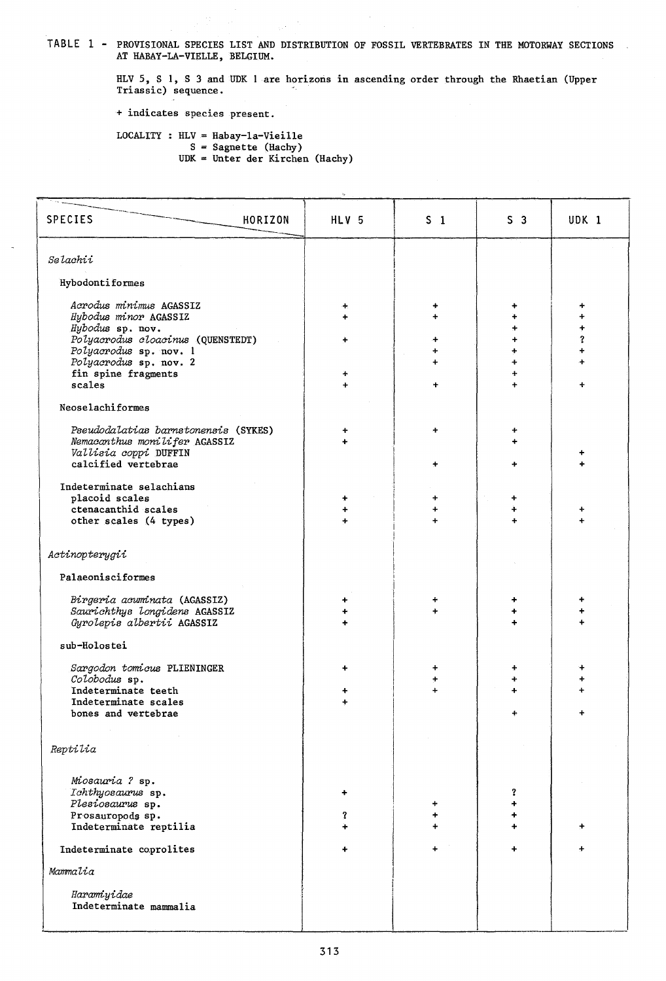TABLE 1 - PROVISIONAL SPECIES LIST AND DISTRIBUTION OF FOSSIL VERTEBRATES IN THE MOTORWAY SECTIONS AT HABAY-LA-VIELLE, BELGIUM.

HLV 5, S 1, S 3 and UDK 1 are horizons in ascending order through the Rhaetian (Upper Triassic) sequence.

+ indicates species present.

LOCALITY : HLV = Habay-la-Vieille<br>
S = Sagnette (Hachy)<br>
UDK = Unter der Kirchen (Hachy)

| <b>SPECIES</b><br>HORIZON                                             | HLV 5          | $S_1$     | S <sub>3</sub> | UDK 1  |  |
|-----------------------------------------------------------------------|----------------|-----------|----------------|--------|--|
| Selachii                                                              |                |           |                |        |  |
| Hybodontiformes                                                       |                |           |                |        |  |
| Acrodus minimus AGASSIZ                                               | ÷.             | ٠         | ۰              | +      |  |
| Hybodus minor AGASSIZ<br>Hybodus sp. nov.                             | ÷              |           | ÷              | +<br>÷ |  |
| Polyacrodus cloacinus (QUENSTEDT)<br>Polyacrodus sp. nov. 1           | ۰              |           | $\ddot{}$<br>÷ | 2<br>÷ |  |
| Polyacrodus sp. nov. 2                                                |                |           | $\ddot{}$      | ÷      |  |
| fin spine fragments<br>scales                                         | ÷              |           | $\ddot{+}$     | ÷      |  |
| Neoselachiformes                                                      |                |           |                |        |  |
|                                                                       |                |           |                |        |  |
| Pseudodalatias barnstonensis (SYKES)<br>Nemacanthus monilifer AGASSIZ | ÷              | ÷         | +              |        |  |
| Vallisia coppi DUFFIN<br>calcified vertebrae                          |                |           |                |        |  |
|                                                                       |                |           |                |        |  |
| Indeterminate selachians<br>placoid scales                            | ÷              | +         |                |        |  |
| ctenacanthid scales<br>other scales (4 types)                         | $\ddot{}$<br>÷ | +         | ÷              | ÷      |  |
|                                                                       |                |           |                |        |  |
| Actinopterygii                                                        |                |           |                |        |  |
| Palaeonisciformes                                                     |                |           |                |        |  |
| Birgeria acuminata (AGASSIZ)                                          | ٠              | ÷         | ٠              | +      |  |
| Saurichthys longidens AGASSIZ<br>Gyrolepis albertii AGASSIZ           | +<br>÷         |           | ÷              |        |  |
| sub-Holostei                                                          |                |           |                |        |  |
|                                                                       |                |           |                |        |  |
| Sargodon tomicus PLIENINGER<br>Colobodus sp.                          | +              | +         | ÷              | ۰      |  |
| Indeterminate teeth                                                   | ٠              |           |                |        |  |
| Indeterminate scales<br>bones and vertebrae                           | $\ddotmark$    |           |                |        |  |
|                                                                       |                |           |                |        |  |
| Reptilia                                                              |                |           |                |        |  |
| Miosauria ? sp.                                                       |                |           |                |        |  |
| Ichthyosaurus sp.                                                     | ٠              |           | ?              |        |  |
| Plesiosaurus sp.<br>Prosauropods sp.                                  | ?              | ÷<br>+    | ÷<br>٠         |        |  |
| Indeterminate reptilia                                                | ÷              | ÷         | $\div$         | +      |  |
| Indeterminate coprolites                                              | $\ddotmark$    | $\ddot{}$ | $\ddot{}$      | 4      |  |
| Mammalia                                                              |                |           |                |        |  |
| Haramiyidae                                                           |                |           |                |        |  |
| Indeterminate mammalia                                                |                |           |                |        |  |
|                                                                       |                |           |                |        |  |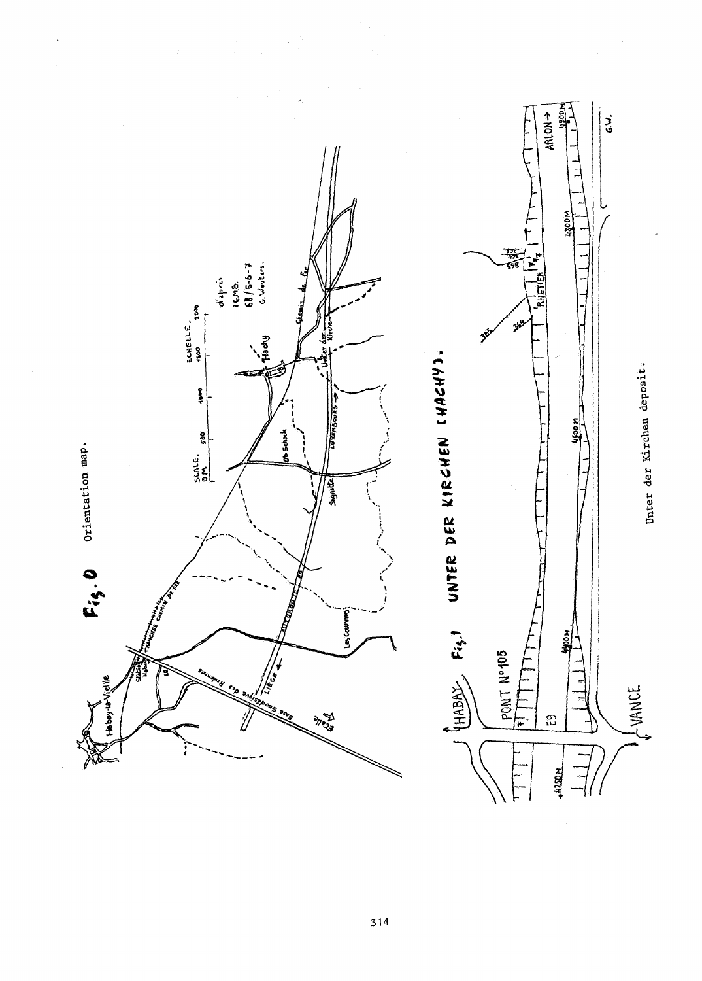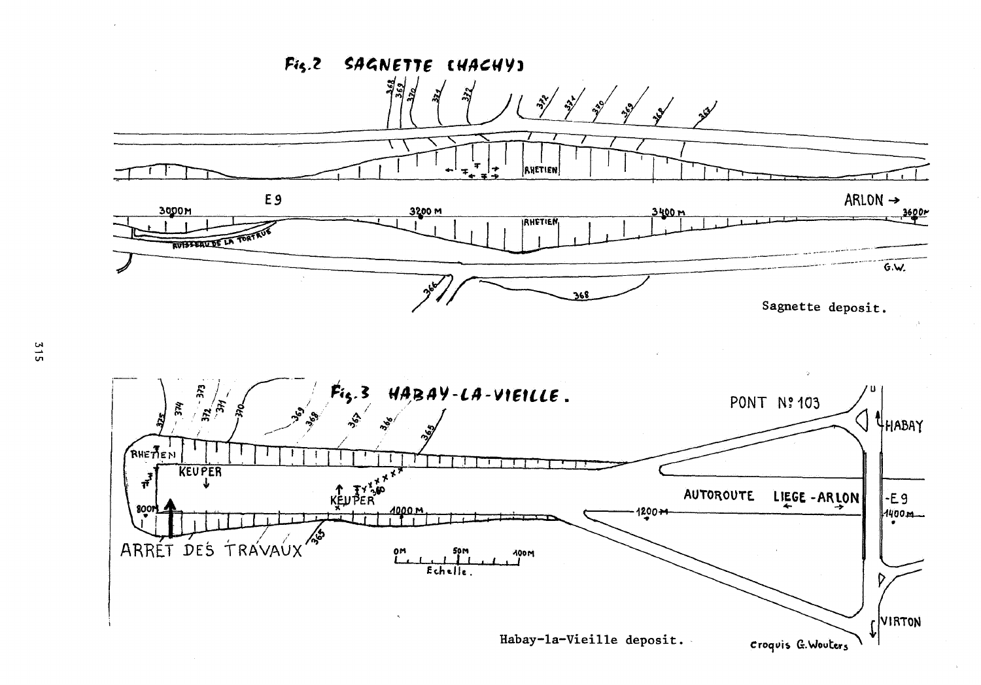